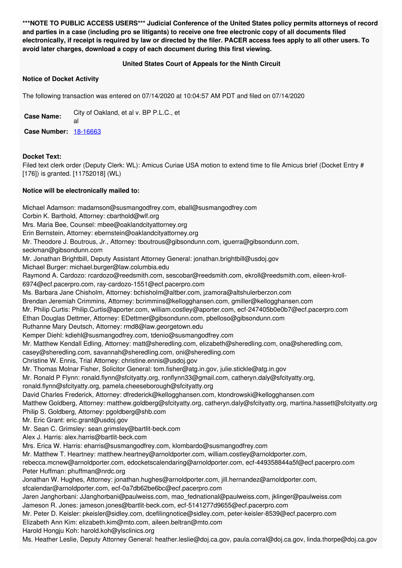**\*\*\*NOTE TO PUBLIC ACCESS USERS\*\*\* Judicial Conference of the United States policy permits attorneys of record** and parties in a case (including pro se litigants) to receive one free electronic copy of all documents filed electronically, if receipt is required by law or directed by the filer. PACER access fees apply to all other users. To **avoid later charges, download a copy of each document during this first viewing.**

## **United States Court of Appeals for the Ninth Circuit**

## **Notice of Docket Activity**

The following transaction was entered on 07/14/2020 at 10:04:57 AM PDT and filed on 07/14/2020

**Case Name:** City of Oakland, et al v. BP P.L.C., et al **Case Number:** [18-16663](https://ecf.ca9.uscourts.gov/n/beam/servlet/TransportRoom?servlet=DocketReportFilter.jsp&caseId=304946)

## **Docket Text:**

Filed text clerk order (Deputy Clerk: WL): Amicus Curiae USA motion to extend time to file Amicus brief (Docket Entry # [176]) is granted. [11752018] (WL)

## **Notice will be electronically mailed to:**

Michael Adamson: madamson@susmangodfrey.com, eball@susmangodfrey.com Corbin K. Barthold, Attorney: cbarthold@wlf.org Mrs. Maria Bee, Counsel: mbee@oaklandcityattorney.org Erin Bernstein, Attorney: ebernstein@oaklandcityattorney.org Mr. Theodore J. Boutrous, Jr., Attorney: tboutrous@gibsondunn.com, iguerra@gibsondunn.com, seckman@gibsondunn.com Mr. Jonathan Brightbill, Deputy Assistant Attorney General: jonathan.brightbill@usdoj.gov Michael Burger: michael.burger@law.columbia.edu Raymond A. Cardozo: rcardozo@reedsmith.com, sescobar@reedsmith.com, ekroll@reedsmith.com, eileen-kroll-6974@ecf.pacerpro.com, ray-cardozo-1551@ecf.pacerpro.com Ms. Barbara Jane Chisholm, Attorney: bchisholm@altber.com, jzamora@altshulerberzon.com Brendan Jeremiah Crimmins, Attorney: bcrimmins@kellogghansen.com, gmiller@kellogghansen.com Mr. Philip Curtis: Philip.Curtis@aporter.com, william.costley@aporter.com, ecf-247405b0e0b7@ecf.pacerpro.com Ethan Douglas Dettmer, Attorney: EDettmer@gibsondunn.com, pbelloso@gibsondunn.com Ruthanne Mary Deutsch, Attorney: rmd8@law.georgetown.edu Kemper Diehl: kdiehl@susmangodfrey.com, tdenio@susmangodfrey.com Mr. Matthew Kendall Edling, Attorney: matt@sheredling.com, elizabeth@sheredling.com, ona@sheredling.com, casey@sheredling.com, savannah@sheredling.com, oni@sheredling.com Christine W. Ennis, Trial Attorney: christine.ennis@usdoj.gov Mr. Thomas Molnar Fisher, Solicitor General: tom.fisher@atg.in.gov, julie.stickle@atg.in.gov Mr. Ronald P Flynn: ronald.flynn@sfcityatty.org, ronflynn33@gmail.com, catheryn.daly@sfcityatty.org, ronald.flynn@sfcityatty.org, pamela.cheeseborough@sfcityatty.org David Charles Frederick, Attorney: dfrederick@kellogghansen.com, ktondrowski@kellogghansen.com Matthew Goldberg, Attorney: matthew.goldberg@sfcityatty.org, catheryn.daly@sfcityatty.org, martina.hassett@sfcityatty.org Philip S. Goldberg, Attorney: pgoldberg@shb.com Mr. Eric Grant: eric.grant@usdoi.gov Mr. Sean C. Grimsley: sean.grimsley@bartlit-beck.com Alex J. Harris: alex.harris@bartlit-beck.com Mrs. Erica W. Harris: eharris@susmangodfrey.com, klombardo@susmangodfrey.com Mr. Matthew T. Heartney: matthew.heartney@arnoldporter.com, william.costley@arnoldporter.com, rebecca.mcnew@arnoldporter.com, edocketscalendaring@arnoldporter.com, ecf-449358844a5f@ecf.pacerpro.com Peter Huffman: phuffman@nrdc.org Jonathan W. Hughes, Attorney: jonathan.hughes@arnoldporter.com, jill.hernandez@arnoldporter.com, sfcalendar@arnoldporter.com, ecf-0a7db62be6bc@ecf.pacerpro.com Jaren Janghorbani: JJanghorbani@paulweiss.com, mao\_fednational@paulweiss.com, jklinger@paulweiss.com Jameson R. Jones: jameson.jones@bartlit-beck.com, ecf-5141277d9655@ecf.pacerpro.com Mr. Peter D. Keisler: pkeisler@sidley.com, dcefilingnotice@sidley.com, peter-keisler-8539@ecf.pacerpro.com Elizabeth Ann Kim: elizabeth.kim@mto.com, aileen.beltran@mto.com Harold Hongju Koh: harold.koh@ylsclinics.org Ms. Heather Leslie, Deputy Attorney General: heather.leslie@doj.ca.gov, paula.corral@doj.ca.gov, linda.thorpe@doj.ca.gov